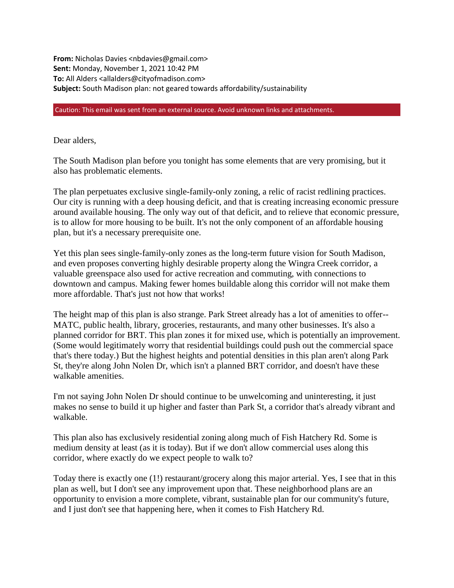**From:** Nicholas Davies <nbdavies@gmail.com> **Sent:** Monday, November 1, 2021 10:42 PM **To:** All Alders <allalders@cityofmadison.com> **Subject:** South Madison plan: not geared towards affordability/sustainability

Caution: This email was sent from an external source. Avoid unknown links and attachments.

Dear alders,

The South Madison plan before you tonight has some elements that are very promising, but it also has problematic elements.

The plan perpetuates exclusive single-family-only zoning, a relic of racist redlining practices. Our city is running with a deep housing deficit, and that is creating increasing economic pressure around available housing. The only way out of that deficit, and to relieve that economic pressure, is to allow for more housing to be built. It's not the only component of an affordable housing plan, but it's a necessary prerequisite one.

Yet this plan sees single-family-only zones as the long-term future vision for South Madison, and even proposes converting highly desirable property along the Wingra Creek corridor, a valuable greenspace also used for active recreation and commuting, with connections to downtown and campus. Making fewer homes buildable along this corridor will not make them more affordable. That's just not how that works!

The height map of this plan is also strange. Park Street already has a lot of amenities to offer-- MATC, public health, library, groceries, restaurants, and many other businesses. It's also a planned corridor for BRT. This plan zones it for mixed use, which is potentially an improvement. (Some would legitimately worry that residential buildings could push out the commercial space that's there today.) But the highest heights and potential densities in this plan aren't along Park St, they're along John Nolen Dr, which isn't a planned BRT corridor, and doesn't have these walkable amenities.

I'm not saying John Nolen Dr should continue to be unwelcoming and uninteresting, it just makes no sense to build it up higher and faster than Park St, a corridor that's already vibrant and walkable.

This plan also has exclusively residential zoning along much of Fish Hatchery Rd. Some is medium density at least (as it is today). But if we don't allow commercial uses along this corridor, where exactly do we expect people to walk to?

Today there is exactly one (1!) restaurant/grocery along this major arterial. Yes, I see that in this plan as well, but I don't see any improvement upon that. These neighborhood plans are an opportunity to envision a more complete, vibrant, sustainable plan for our community's future, and I just don't see that happening here, when it comes to Fish Hatchery Rd.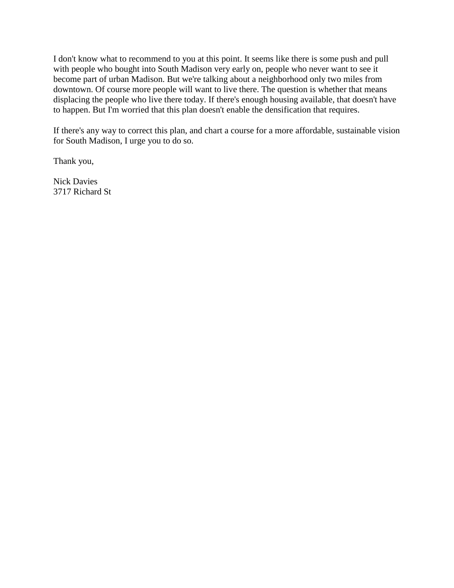I don't know what to recommend to you at this point. It seems like there is some push and pull with people who bought into South Madison very early on, people who never want to see it become part of urban Madison. But we're talking about a neighborhood only two miles from downtown. Of course more people will want to live there. The question is whether that means displacing the people who live there today. If there's enough housing available, that doesn't have to happen. But I'm worried that this plan doesn't enable the densification that requires.

If there's any way to correct this plan, and chart a course for a more affordable, sustainable vision for South Madison, I urge you to do so.

Thank you,

Nick Davies 3717 Richard St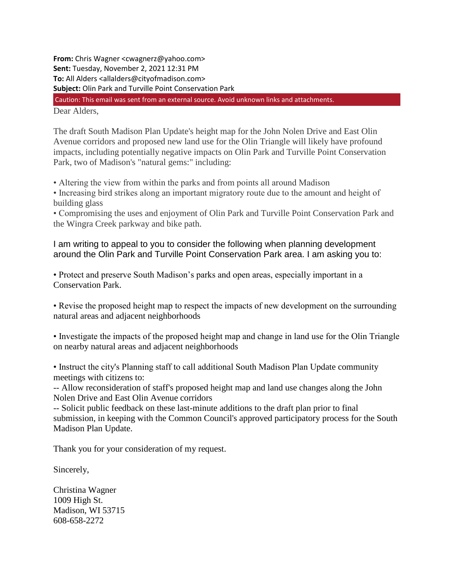**From:** Chris Wagner <cwagnerz@yahoo.com> **Sent:** Tuesday, November 2, 2021 12:31 PM **To:** All Alders <allalders@cityofmadison.com> **Subject:** Olin Park and Turville Point Conservation Park Dear Alders, Caution: This email was sent from an external source. Avoid unknown links and attachments.

The draft South Madison Plan Update's height map for the John Nolen Drive and East Olin Avenue corridors and proposed new land use for the Olin Triangle will likely have profound impacts, including potentially negative impacts on Olin Park and Turville Point Conservation Park, two of Madison's "natural gems:" including:

• Altering the view from within the parks and from points all around Madison

• Increasing bird strikes along an important migratory route due to the amount and height of building glass

• Compromising the uses and enjoyment of Olin Park and Turville Point Conservation Park and the Wingra Creek parkway and bike path.

I am writing to appeal to you to consider the following when planning development around the Olin Park and Turville Point Conservation Park area. I am asking you to:

• Protect and preserve South Madison's parks and open areas, especially important in a Conservation Park.

• Revise the proposed height map to respect the impacts of new development on the surrounding natural areas and adjacent neighborhoods

• Investigate the impacts of the proposed height map and change in land use for the Olin Triangle on nearby natural areas and adjacent neighborhoods

• Instruct the city's Planning staff to call additional South Madison Plan Update community meetings with citizens to:

-- Allow reconsideration of staff's proposed height map and land use changes along the John Nolen Drive and East Olin Avenue corridors

-- Solicit public feedback on these last-minute additions to the draft plan prior to final submission, in keeping with the Common Council's approved participatory process for the South Madison Plan Update.

Thank you for your consideration of my request.

Sincerely,

Christina Wagner 1009 High St. Madison, WI 53715 608-658-2272